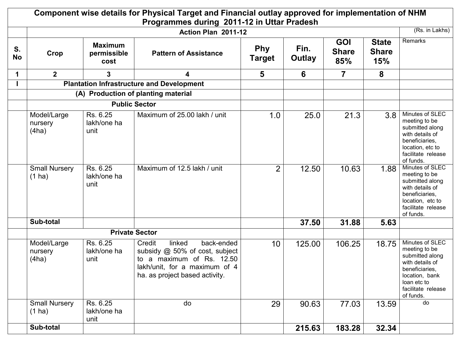|                 |                                     |                                       | Component wise details for Physical Target and Financial outlay approved for implementation of NHM<br>Programmes during 2011-12 in Uttar Pradesh                 |                             |                |                                   |                                     |                                                                                                                                                              |
|-----------------|-------------------------------------|---------------------------------------|------------------------------------------------------------------------------------------------------------------------------------------------------------------|-----------------------------|----------------|-----------------------------------|-------------------------------------|--------------------------------------------------------------------------------------------------------------------------------------------------------------|
|                 |                                     |                                       | Action Plan 2011-12                                                                                                                                              |                             |                |                                   |                                     | (Rs. in Lakhs)                                                                                                                                               |
| S.<br><b>No</b> | Crop                                | <b>Maximum</b><br>permissible<br>cost | <b>Pattern of Assistance</b>                                                                                                                                     | <b>Phy</b><br><b>Target</b> | Fin.<br>Outlay | <b>GOI</b><br><b>Share</b><br>85% | <b>State</b><br><b>Share</b><br>15% | Remarks                                                                                                                                                      |
| 1               | 2 <sup>1</sup>                      | 3                                     | 4                                                                                                                                                                | 5                           | 6              | $\overline{7}$                    | 8                                   |                                                                                                                                                              |
|                 |                                     |                                       | <b>Plantation Infrastructure and Development</b>                                                                                                                 |                             |                |                                   |                                     |                                                                                                                                                              |
|                 | (A) Production of planting material |                                       |                                                                                                                                                                  |                             |                |                                   |                                     |                                                                                                                                                              |
|                 | <b>Public Sector</b>                |                                       |                                                                                                                                                                  |                             |                |                                   |                                     |                                                                                                                                                              |
|                 | Model/Large<br>nursery<br>(4ha)     | Rs. 6.25<br>lakh/one ha<br>unit       | Maximum of 25.00 lakh / unit                                                                                                                                     | 1.0                         | 25.0           | 21.3                              | 3.8                                 | Minutes of SLEC<br>meeting to be<br>submitted along<br>with details of<br>beneficiaries,<br>location, etc to<br>facilitate release<br>of funds.              |
|                 | <b>Small Nursery</b><br>$(1)$ ha)   | Rs. 6.25<br>lakh/one ha<br>unit       | Maximum of 12.5 lakh / unit                                                                                                                                      | $\overline{2}$              | 12.50          | 10.63                             | 1.88                                | Minutes of SLEC<br>meeting to be<br>submitted along<br>with details of<br>beneficiaries,<br>location, etc to<br>facilitate release<br>of funds.              |
|                 | Sub-total                           |                                       |                                                                                                                                                                  |                             | 37.50          | 31.88                             | 5.63                                |                                                                                                                                                              |
|                 |                                     |                                       | <b>Private Sector</b>                                                                                                                                            |                             |                |                                   |                                     |                                                                                                                                                              |
|                 | Model/Large<br>nursery<br>(4ha)     | Rs. 6.25<br>lakh/one ha<br>unit       | back-ended<br>Credit<br>linked<br>subsidy @ 50% of cost, subject<br>to a maximum of Rs. 12.50<br>lakh/unit, for a maximum of 4<br>ha. as project based activity. | 10 <sup>°</sup>             | 125.00         | 106.25                            | 18.75                               | Minutes of SLEC<br>meeting to be<br>submitted along<br>with details of<br>beneficiaries,<br>location, bank<br>loan etc to<br>facilitate release<br>of funds. |
|                 | <b>Small Nursery</b><br>$(1)$ ha)   | Rs. 6.25<br>lakh/one ha<br>unit       | do                                                                                                                                                               | 29                          | 90.63          | 77.03                             | 13.59                               | do                                                                                                                                                           |
|                 | Sub-total                           |                                       |                                                                                                                                                                  |                             | 215.63         | 183.28                            | 32.34                               |                                                                                                                                                              |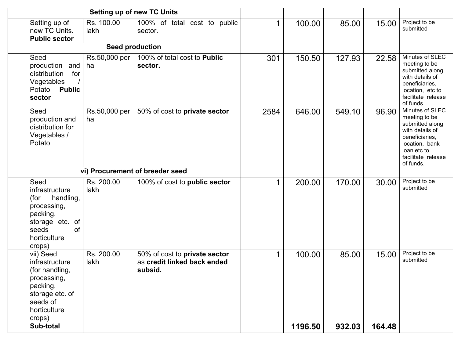|                                                                                                                                    | <b>Setting up of new TC Units</b> |                                                                         |      |         |        |        |                                                                                                                                                              |
|------------------------------------------------------------------------------------------------------------------------------------|-----------------------------------|-------------------------------------------------------------------------|------|---------|--------|--------|--------------------------------------------------------------------------------------------------------------------------------------------------------------|
| Setting up of<br>new TC Units.<br><b>Public sector</b>                                                                             | Rs. 100.00<br>lakh                | 100% of total cost to public<br>sector.                                 | 1    | 100.00  | 85.00  | 15.00  | Project to be<br>submitted                                                                                                                                   |
|                                                                                                                                    |                                   | <b>Seed production</b>                                                  |      |         |        |        |                                                                                                                                                              |
| Seed<br>production and<br>for<br>distribution<br>Vegetables<br><b>Public</b><br>Potato<br>sector                                   | Rs.50,000 per<br>ha               | 100% of total cost to Public<br>sector.                                 | 301  | 150.50  | 127.93 | 22.58  | Minutes of SLEC<br>meeting to be<br>submitted along<br>with details of<br>beneficiaries,<br>location, etc to<br>facilitate release<br>of funds.              |
| Seed<br>production and<br>distribution for<br>Vegetables /<br>Potato                                                               | Rs.50,000 per<br>ha               | 50% of cost to private sector                                           | 2584 | 646.00  | 549.10 | 96.90  | Minutes of SLEC<br>meeting to be<br>submitted along<br>with details of<br>beneficiaries,<br>location, bank<br>loan etc to<br>facilitate release<br>of funds. |
| vi) Procurement of breeder seed                                                                                                    |                                   |                                                                         |      |         |        |        |                                                                                                                                                              |
| Seed<br>infrastructure<br>handling,<br>(for<br>processing,<br>packing,<br>storage etc. of<br>of<br>seeds<br>horticulture<br>crops) | Rs. 200.00<br>lakh                | 100% of cost to public sector                                           | 1    | 200.00  | 170.00 | 30.00  | Project to be<br>submitted                                                                                                                                   |
| vii) Seed<br>infrastructure<br>(for handling,<br>processing,<br>packing,<br>storage etc. of<br>seeds of<br>horticulture<br>crops)  | Rs. 200.00<br>lakh                | 50% of cost to private sector<br>as credit linked back ended<br>subsid. | 1    | 100.00  | 85.00  | 15.00  | Project to be<br>submitted                                                                                                                                   |
| Sub-total                                                                                                                          |                                   |                                                                         |      | 1196.50 | 932.03 | 164.48 |                                                                                                                                                              |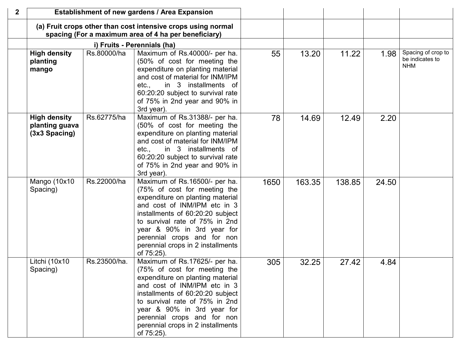| $\mathbf{2}$ |                                                        |              | Establishment of new gardens / Area Expansion                                                                                                                                                                                                                                                                           |      |        |        |       |                                                     |
|--------------|--------------------------------------------------------|--------------|-------------------------------------------------------------------------------------------------------------------------------------------------------------------------------------------------------------------------------------------------------------------------------------------------------------------------|------|--------|--------|-------|-----------------------------------------------------|
|              |                                                        |              | (a) Fruit crops other than cost intensive crops using normal<br>spacing (For a maximum area of 4 ha per beneficiary)                                                                                                                                                                                                    |      |        |        |       |                                                     |
|              |                                                        |              | i) Fruits - Perennials (ha)                                                                                                                                                                                                                                                                                             |      |        |        |       |                                                     |
|              | <b>High density</b><br>planting<br>mango               | Rs.80000/ha  | Maximum of Rs.40000/- per ha.<br>(50% of cost for meeting the<br>expenditure on planting material<br>and cost of material for INM/IPM<br>etc., in 3 installments of<br>60:20:20 subject to survival rate<br>of 75% in 2nd year and 90% in<br>3rd year).                                                                 | 55   | 13.20  | 11.22  | 1.98  | Spacing of crop to<br>be indicates to<br><b>NHM</b> |
|              | <b>High density</b><br>planting guava<br>(3x3 Spacing) | Rs.62775/ha  | Maximum of Rs.31388/- per ha.<br>(50% of cost for meeting the<br>expenditure on planting material<br>and cost of material for INM/IPM<br>in 3 installments of<br>etc.,<br>60:20:20 subject to survival rate<br>of 75% in 2nd year and 90% in<br>3rd year).                                                              | 78   | 14.69  | 12.49  | 2.20  |                                                     |
|              | Mango (10x10<br>Spacing)                               | Rs.22000/ha  | Maximum of Rs.16500/- per ha.<br>(75% of cost for meeting the<br>expenditure on planting material<br>and cost of INM/IPM etc in 3<br>installments of 60:20:20 subject<br>to survival rate of 75% in 2nd<br>year & 90% in 3rd year for<br>perennial crops and for non<br>perennial crops in 2 installments<br>of 75:25). | 1650 | 163.35 | 138.85 | 24.50 |                                                     |
|              | Litchi (10x10<br>Spacing)                              | Rs.23500/ha. | Maximum of Rs.17625/- per ha.<br>(75% of cost for meeting the<br>expenditure on planting material<br>and cost of INM/IPM etc in 3<br>installments of 60:20:20 subject<br>to survival rate of 75% in 2nd<br>year & 90% in 3rd year for<br>perennial crops and for non<br>perennial crops in 2 installments<br>of 75:25). | 305  | 32.25  | 27.42  | 4.84  |                                                     |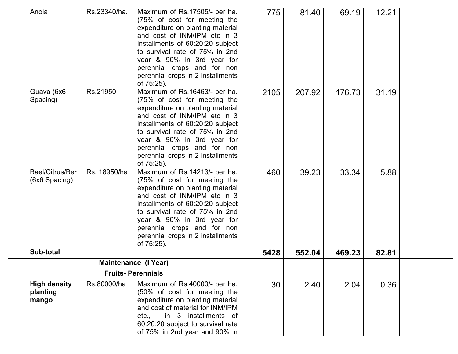| Anola                                    | Rs.23340/ha. | Maximum of Rs.17505/- per ha.<br>(75% of cost for meeting the<br>expenditure on planting material<br>and cost of INM/IPM etc in 3<br>installments of 60:20:20 subject<br>to survival rate of 75% in 2nd<br>year & 90% in 3rd year for<br>perennial crops and for non<br>perennial crops in 2 installments<br>of 75:25). | 775  | 81.40  | 69.19  | 12.21 |  |
|------------------------------------------|--------------|-------------------------------------------------------------------------------------------------------------------------------------------------------------------------------------------------------------------------------------------------------------------------------------------------------------------------|------|--------|--------|-------|--|
| Guava (6x6<br>Spacing)                   | Rs.21950     | Maximum of Rs.16463/- per ha.<br>(75% of cost for meeting the<br>expenditure on planting material<br>and cost of INM/IPM etc in 3<br>installments of 60:20:20 subject<br>to survival rate of 75% in 2nd<br>year & 90% in 3rd year for<br>perennial crops and for non<br>perennial crops in 2 installments<br>of 75:25). | 2105 | 207.92 | 176.73 | 31.19 |  |
| Bael/Citrus/Ber<br>(6x6 Spacing)         | Rs. 18950/ha | Maximum of Rs.14213/- per ha.<br>(75% of cost for meeting the<br>expenditure on planting material<br>and cost of INM/IPM etc in 3<br>installments of 60:20:20 subject<br>to survival rate of 75% in 2nd<br>year & 90% in 3rd year for<br>perennial crops and for non<br>perennial crops in 2 installments<br>of 75:25). | 460  | 39.23  | 33.34  | 5.88  |  |
| Sub-total                                |              |                                                                                                                                                                                                                                                                                                                         | 5428 | 552.04 | 469.23 | 82.81 |  |
|                                          |              | <b>Maintenance (I Year)</b>                                                                                                                                                                                                                                                                                             |      |        |        |       |  |
| <b>Fruits-Perennials</b>                 |              |                                                                                                                                                                                                                                                                                                                         |      |        |        |       |  |
| <b>High density</b><br>planting<br>mango | Rs.80000/ha  | Maximum of Rs.40000/- per ha.<br>(50% of cost for meeting the<br>expenditure on planting material<br>and cost of material for INM/IPM<br>in 3 installments of<br>etc.,<br>60:20:20 subject to survival rate<br>of 75% in 2nd year and 90% in                                                                            | 30   | 2.40   | 2.04   | 0.36  |  |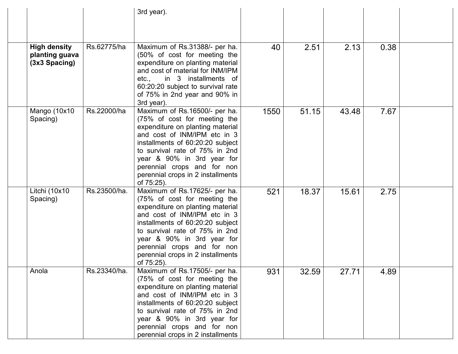|                                                          |              | 3rd year).                                                                                                                                                                                                                                                                                                              |      |       |       |      |  |
|----------------------------------------------------------|--------------|-------------------------------------------------------------------------------------------------------------------------------------------------------------------------------------------------------------------------------------------------------------------------------------------------------------------------|------|-------|-------|------|--|
|                                                          |              |                                                                                                                                                                                                                                                                                                                         |      |       |       |      |  |
| <b>High density</b><br>planting guava<br>$(3x3$ Spacing) | Rs.62775/ha  | Maximum of Rs.31388/- per ha.<br>(50% of cost for meeting the<br>expenditure on planting material<br>and cost of material for INM/IPM<br>etc.,<br>in 3 installments of<br>60:20:20 subject to survival rate<br>of 75% in 2nd year and 90% in<br>3rd year).                                                              | 40   | 2.51  | 2.13  | 0.38 |  |
| Mango (10x10<br>Spacing)                                 | Rs.22000/ha  | Maximum of Rs.16500/- per ha.<br>(75% of cost for meeting the<br>expenditure on planting material<br>and cost of INM/IPM etc in 3<br>installments of 60:20:20 subject<br>to survival rate of 75% in 2nd<br>year & 90% in 3rd year for<br>perennial crops and for non<br>perennial crops in 2 installments<br>of 75:25). | 1550 | 51.15 | 43.48 | 7.67 |  |
| Litchi (10x10<br>Spacing)                                | Rs.23500/ha. | Maximum of Rs.17625/- per ha.<br>(75% of cost for meeting the<br>expenditure on planting material<br>and cost of INM/IPM etc in 3<br>installments of 60:20:20 subject<br>to survival rate of 75% in 2nd<br>year & 90% in 3rd year for<br>perennial crops and for non<br>perennial crops in 2 installments<br>of 75:25). | 521  | 18.37 | 15.61 | 2.75 |  |
| Anola                                                    | Rs.23340/ha. | Maximum of Rs.17505/- per ha.<br>(75% of cost for meeting the<br>expenditure on planting material<br>and cost of INM/IPM etc in 3<br>installments of 60:20:20 subject<br>to survival rate of 75% in 2nd<br>year & 90% in 3rd year for<br>perennial crops and for non<br>perennial crops in 2 installments               | 931  | 32.59 | 27.71 | 4.89 |  |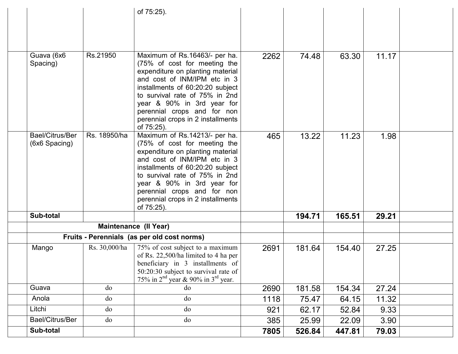|                                  |               | of 75:25).                                                                                                                                                                                                                                                                                                              |      |        |        |       |  |
|----------------------------------|---------------|-------------------------------------------------------------------------------------------------------------------------------------------------------------------------------------------------------------------------------------------------------------------------------------------------------------------------|------|--------|--------|-------|--|
|                                  |               |                                                                                                                                                                                                                                                                                                                         |      |        |        |       |  |
|                                  |               |                                                                                                                                                                                                                                                                                                                         |      |        |        |       |  |
| Guava (6x6<br>Spacing)           | Rs.21950      | Maximum of Rs.16463/- per ha.<br>(75% of cost for meeting the<br>expenditure on planting material<br>and cost of INM/IPM etc in 3<br>installments of 60:20:20 subject<br>to survival rate of 75% in 2nd<br>year & 90% in 3rd year for<br>perennial crops and for non<br>perennial crops in 2 installments               | 2262 | 74.48  | 63.30  | 11.17 |  |
|                                  |               | of 75:25).                                                                                                                                                                                                                                                                                                              |      |        |        |       |  |
| Bael/Citrus/Ber<br>(6x6 Spacing) | Rs. 18950/ha  | Maximum of Rs.14213/- per ha.<br>(75% of cost for meeting the<br>expenditure on planting material<br>and cost of INM/IPM etc in 3<br>installments of 60:20:20 subject<br>to survival rate of 75% in 2nd<br>year & 90% in 3rd year for<br>perennial crops and for non<br>perennial crops in 2 installments<br>of 75:25). | 465  | 13.22  | 11.23  | 1.98  |  |
| Sub-total                        |               |                                                                                                                                                                                                                                                                                                                         |      | 194.71 | 165.51 | 29.21 |  |
|                                  |               | <b>Maintenance (II Year)</b>                                                                                                                                                                                                                                                                                            |      |        |        |       |  |
| Mango                            | Rs. 30,000/ha | Fruits - Perennials (as per old cost norms)<br>75% of cost subject to a maximum<br>of Rs. 22,500/ha limited to 4 ha per<br>beneficiary in 3 installments of<br>50:20:30 subject to survival rate of<br>75% in $2nd$ year & 90% in $3rd$ year.                                                                           | 2691 | 181.64 | 154.40 | 27.25 |  |
| Guava                            | do            | do                                                                                                                                                                                                                                                                                                                      | 2690 | 181.58 | 154.34 | 27.24 |  |
| Anola                            | do            | do                                                                                                                                                                                                                                                                                                                      | 1118 | 75.47  | 64.15  | 11.32 |  |
| Litchi                           | do            | do                                                                                                                                                                                                                                                                                                                      | 921  | 62.17  | 52.84  | 9.33  |  |
| Bael/Citrus/Ber                  | do            | do                                                                                                                                                                                                                                                                                                                      | 385  | 25.99  | 22.09  | 3.90  |  |
| Sub-total                        |               |                                                                                                                                                                                                                                                                                                                         | 7805 | 526.84 | 447.81 | 79.03 |  |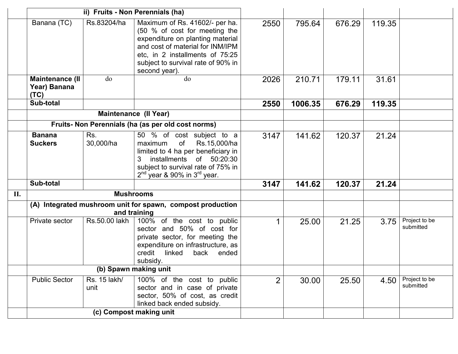|     |                                                |                      | ii) Fruits - Non Perennials (ha)                                                                                                                                                                                                  |                |         |        |        |                            |
|-----|------------------------------------------------|----------------------|-----------------------------------------------------------------------------------------------------------------------------------------------------------------------------------------------------------------------------------|----------------|---------|--------|--------|----------------------------|
|     | Banana (TC)                                    | Rs.83204/ha          | Maximum of Rs. 41602/- per ha.<br>(50 % of cost for meeting the<br>expenditure on planting material<br>and cost of material for INM/IPM<br>etc, in 2 installments of 75:25<br>subject to survival rate of 90% in<br>second year). | 2550           | 795.64  | 676.29 | 119.35 |                            |
|     | <b>Maintenance (II</b><br>Year) Banana<br>(TC) | do                   | do                                                                                                                                                                                                                                | 2026           | 210.71  | 179.11 | 31.61  |                            |
|     | Sub-total                                      |                      |                                                                                                                                                                                                                                   | 2550           | 1006.35 | 676.29 | 119.35 |                            |
|     |                                                |                      | <b>Maintenance (Il Year)</b>                                                                                                                                                                                                      |                |         |        |        |                            |
|     |                                                |                      | Fruits- Non Perennials (ha (as per old cost norms)                                                                                                                                                                                |                |         |        |        |                            |
|     | <b>Banana</b><br><b>Suckers</b>                | Rs.<br>30,000/ha     | 50 % of cost subject to a<br>of<br>Rs.15,000/ha<br>maximum<br>limited to 4 ha per beneficiary in<br>installments of 50:20:30<br>3<br>subject to survival rate of 75% in<br>$2^{nd}$ year & 90% in $3^{rd}$ year.                  | 3147           | 141.62  | 120.37 | 21.24  |                            |
|     | Sub-total                                      |                      |                                                                                                                                                                                                                                   | 3147           | 141.62  | 120.37 | 21.24  |                            |
| II. |                                                |                      | <b>Mushrooms</b>                                                                                                                                                                                                                  |                |         |        |        |                            |
|     |                                                |                      | (A) Integrated mushroom unit for spawn, compost production<br>and training                                                                                                                                                        |                |         |        |        |                            |
|     | Private sector                                 | Rs.50.00 lakh        | 100% of the cost to public<br>sector and 50% of cost for<br>private sector, for meeting the<br>expenditure on infrastructure, as<br>credit<br>linked<br>back<br>ended<br>subsidy.                                                 | 1              | 25.00   | 21.25  | 3.75   | Project to be<br>submitted |
|     |                                                |                      | (b) Spawn making unit                                                                                                                                                                                                             |                |         |        |        |                            |
|     | <b>Public Sector</b>                           | Rs. 15 lakh/<br>unit | 100% of the cost to public<br>sector and in case of private<br>sector, 50% of cost, as credit<br>linked back ended subsidy.                                                                                                       | $\overline{2}$ | 30.00   | 25.50  | 4.50   | Project to be<br>submitted |
|     |                                                |                      | (c) Compost making unit                                                                                                                                                                                                           |                |         |        |        |                            |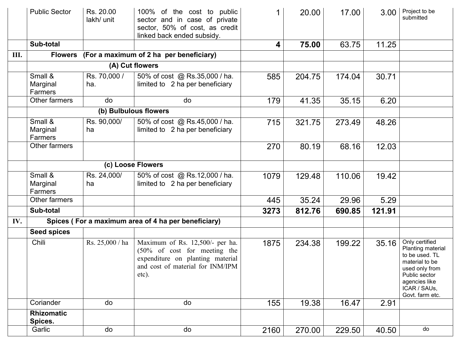|     | <b>Public Sector</b><br>Sub-total | Rs. 20.00<br>lakh/ unit | 100% of the cost to public<br>sector and in case of private<br>sector, 50% of cost, as credit<br>linked back ended subsidy.                                 | 1    | 20.00  | 17.00  | 3.00   | Project to be<br>submitted                                                                                                                                     |
|-----|-----------------------------------|-------------------------|-------------------------------------------------------------------------------------------------------------------------------------------------------------|------|--------|--------|--------|----------------------------------------------------------------------------------------------------------------------------------------------------------------|
|     |                                   |                         |                                                                                                                                                             | 4    | 75.00  | 63.75  | 11.25  |                                                                                                                                                                |
| Ш.  | <b>Flowers</b>                    |                         | (For a maximum of 2 ha per beneficiary)                                                                                                                     |      |        |        |        |                                                                                                                                                                |
|     |                                   |                         | (A) Cut flowers                                                                                                                                             |      |        |        |        |                                                                                                                                                                |
|     | Small &<br>Marginal<br>Farmers    | Rs. 70,000 /<br>ha.     | 50% of cost @ Rs.35,000 / ha.<br>limited to 2 ha per beneficiary                                                                                            | 585  | 204.75 | 174.04 | 30.71  |                                                                                                                                                                |
|     | Other farmers                     | do                      | do                                                                                                                                                          | 179  | 41.35  | 35.15  | 6.20   |                                                                                                                                                                |
|     |                                   |                         | (b) Bulbulous flowers                                                                                                                                       |      |        |        |        |                                                                                                                                                                |
|     | Small &<br>Marginal<br>Farmers    | Rs. 90,000/<br>ha       | 50% of cost @ Rs.45,000 / ha.<br>limited to 2 ha per beneficiary                                                                                            | 715  | 321.75 | 273.49 | 48.26  |                                                                                                                                                                |
|     | Other farmers                     |                         |                                                                                                                                                             | 270  | 80.19  | 68.16  | 12.03  |                                                                                                                                                                |
|     |                                   |                         | (c) Loose Flowers                                                                                                                                           |      |        |        |        |                                                                                                                                                                |
|     | Small &<br>Marginal<br>Farmers    | Rs. 24,000/<br>ha       | 50% of cost @ Rs.12,000 / ha.<br>limited to 2 ha per beneficiary                                                                                            | 1079 | 129.48 | 110.06 | 19.42  |                                                                                                                                                                |
|     | Other farmers                     |                         |                                                                                                                                                             | 445  | 35.24  | 29.96  | 5.29   |                                                                                                                                                                |
|     | Sub-total                         |                         |                                                                                                                                                             | 3273 | 812.76 | 690.85 | 121.91 |                                                                                                                                                                |
| IV. |                                   |                         | Spices (For a maximum area of 4 ha per beneficiary)                                                                                                         |      |        |        |        |                                                                                                                                                                |
|     | <b>Seed spices</b>                |                         |                                                                                                                                                             |      |        |        |        |                                                                                                                                                                |
|     | Chili                             | Rs. 25,000 / ha         | Maximum of Rs. 12,500/- per ha.<br>$(50\% \text{ of cost}$ for meeting the<br>expenditure on planting material<br>and cost of material for INM/IPM<br>etc). | 1875 | 234.38 | 199.22 | 35.16  | Only certified<br>Planting material<br>to be used. TL<br>material to be<br>used only from<br>Public sector<br>agencies like<br>ICAR / SAUs,<br>Govt. farm etc. |
|     | Coriander                         | do                      | do                                                                                                                                                          | 155  | 19.38  | 16.47  | 2.91   |                                                                                                                                                                |
|     | <b>Rhizomatic</b><br>Spices.      |                         |                                                                                                                                                             |      |        |        |        |                                                                                                                                                                |
|     | Garlic                            | do                      | do                                                                                                                                                          | 2160 | 270.00 | 229.50 | 40.50  | do                                                                                                                                                             |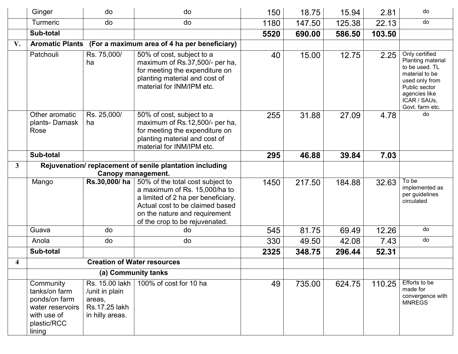|                         | Ginger                                                                                                  | do                                                                             | do                                                                                                                                                                                                                                         | 150  | 18.75  | 15.94  | 2.81   | do                                                                                                                                                             |
|-------------------------|---------------------------------------------------------------------------------------------------------|--------------------------------------------------------------------------------|--------------------------------------------------------------------------------------------------------------------------------------------------------------------------------------------------------------------------------------------|------|--------|--------|--------|----------------------------------------------------------------------------------------------------------------------------------------------------------------|
|                         | <b>Turmeric</b>                                                                                         | do                                                                             | do                                                                                                                                                                                                                                         | 1180 | 147.50 | 125.38 | 22.13  | do                                                                                                                                                             |
|                         | Sub-total                                                                                               |                                                                                |                                                                                                                                                                                                                                            | 5520 | 690.00 | 586.50 | 103.50 |                                                                                                                                                                |
| V.                      | <b>Aromatic Plants</b>                                                                                  |                                                                                | (For a maximum area of 4 ha per beneficiary)                                                                                                                                                                                               |      |        |        |        |                                                                                                                                                                |
|                         | Patchouli                                                                                               | Rs. 75,000/<br>ha                                                              | 50% of cost, subject to a<br>maximum of Rs.37,500/- per ha,<br>for meeting the expenditure on<br>planting material and cost of<br>material for INM/IPM etc.                                                                                | 40   | 15.00  | 12.75  | 2.25   | Only certified<br>Planting material<br>to be used. TL<br>material to be<br>used only from<br>Public sector<br>agencies like<br>ICAR / SAUs,<br>Govt. farm etc. |
|                         | Other aromatic<br>plants-Damask<br>Rose                                                                 | Rs. 25,000/<br>ha                                                              | 50% of cost, subject to a<br>maximum of Rs.12,500/- per ha,<br>for meeting the expenditure on<br>planting material and cost of<br>material for INM/IPM etc.                                                                                | 255  | 31.88  | 27.09  | 4.78   | do                                                                                                                                                             |
|                         | Sub-total                                                                                               |                                                                                |                                                                                                                                                                                                                                            | 295  | 46.88  | 39.84  | 7.03   |                                                                                                                                                                |
| $\overline{\mathbf{3}}$ | Rejuvenation/replacement of senile plantation including                                                 |                                                                                |                                                                                                                                                                                                                                            |      |        |        |        |                                                                                                                                                                |
|                         | Mango                                                                                                   | Rs.30,000/ha                                                                   | <b>Canopy management.</b><br>50% of the total cost subject to<br>a maximum of Rs. 15,000/ha to<br>a limited of 2 ha per beneficiary.<br>Actual cost to be claimed based<br>on the nature and requirement<br>of the crop to be rejuvenated. | 1450 | 217.50 | 184.88 | 32.63  | To be<br>implemented as<br>per guidelines<br>circulated                                                                                                        |
|                         | Guava                                                                                                   | do                                                                             | do                                                                                                                                                                                                                                         | 545  | 81.75  | 69.49  | 12.26  | do                                                                                                                                                             |
|                         | Anola                                                                                                   | do                                                                             | do                                                                                                                                                                                                                                         | 330  | 49.50  | 42.08  | 7.43   | do                                                                                                                                                             |
|                         | Sub-total                                                                                               |                                                                                |                                                                                                                                                                                                                                            | 2325 | 348.75 | 296.44 | 52.31  |                                                                                                                                                                |
| 4                       |                                                                                                         |                                                                                | <b>Creation of Water resources</b>                                                                                                                                                                                                         |      |        |        |        |                                                                                                                                                                |
|                         |                                                                                                         |                                                                                | (a) Community tanks                                                                                                                                                                                                                        |      |        |        |        |                                                                                                                                                                |
|                         | Community<br>tanks/on farm<br>ponds/on farm<br>water reservoirs<br>with use of<br>plastic/RCC<br>lining | Rs. 15.00 lakh<br>/unit in plain<br>areas,<br>Rs.17.25 lakh<br>in hilly areas. | 100% of cost for 10 ha                                                                                                                                                                                                                     | 49   | 735.00 | 624.75 | 110.25 | Efforts to be<br>made for<br>convergence with<br><b>MNREGS</b>                                                                                                 |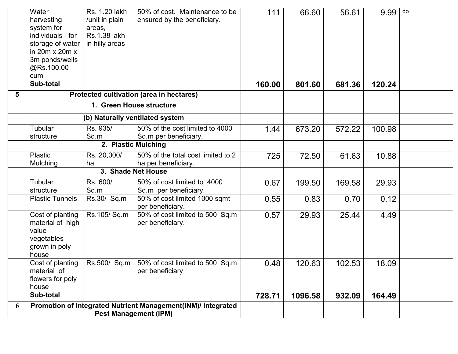|   | Water<br>harvesting<br>system for<br>individuals - for<br>storage of water<br>in $20m \times 20m \times$<br>3m ponds/wells<br>@Rs.100.00<br>cum | Rs. 1.20 lakh<br>/unit in plain<br>areas,<br><b>Rs.1.38 lakh</b><br>in hilly areas | 50% of cost. Maintenance to be<br>ensured by the beneficiary.                                | 111    | 66.60   | 56.61  | $9.99$ $\vert$ do |  |
|---|-------------------------------------------------------------------------------------------------------------------------------------------------|------------------------------------------------------------------------------------|----------------------------------------------------------------------------------------------|--------|---------|--------|-------------------|--|
|   | Sub-total                                                                                                                                       |                                                                                    |                                                                                              | 160.00 | 801.60  | 681.36 | 120.24            |  |
| 5 |                                                                                                                                                 |                                                                                    | Protected cultivation (area in hectares)                                                     |        |         |        |                   |  |
|   |                                                                                                                                                 |                                                                                    | 1. Green House structure                                                                     |        |         |        |                   |  |
|   |                                                                                                                                                 |                                                                                    | (b) Naturally ventilated system                                                              |        |         |        |                   |  |
|   | Tubular                                                                                                                                         | Rs. 935/                                                                           | 50% of the cost limited to 4000                                                              | 1.44   | 673.20  | 572.22 | 100.98            |  |
|   | structure                                                                                                                                       | Sq.m                                                                               | Sq.m per beneficiary.                                                                        |        |         |        |                   |  |
|   |                                                                                                                                                 |                                                                                    | 2. Plastic Mulching                                                                          |        |         |        |                   |  |
|   | <b>Plastic</b>                                                                                                                                  | Rs. 20,000/                                                                        | 50% of the total cost limited to 2                                                           | 725    | 72.50   | 61.63  | 10.88             |  |
|   | Mulching                                                                                                                                        | ha                                                                                 | ha per beneficiary.                                                                          |        |         |        |                   |  |
|   |                                                                                                                                                 |                                                                                    | 3. Shade Net House                                                                           |        |         |        |                   |  |
|   | Tubular                                                                                                                                         | Rs. 600/                                                                           | 50% of cost limited to 4000                                                                  | 0.67   | 199.50  | 169.58 | 29.93             |  |
|   | structure                                                                                                                                       | Sq.m                                                                               | Sq.m per beneficiary.                                                                        |        |         |        |                   |  |
|   | <b>Plastic Tunnels</b>                                                                                                                          | Rs.30/ Sq.m                                                                        | 50% of cost limited 1000 sqmt<br>per beneficiary.                                            | 0.55   | 0.83    | 0.70   | 0.12              |  |
|   | Cost of planting<br>material of high<br>value<br>vegetables<br>grown in poly<br>house                                                           | Rs.105/Sq.m                                                                        | 50% of cost limited to 500 Sq.m<br>per beneficiary.                                          | 0.57   | 29.93   | 25.44  | 4.49              |  |
|   | Cost of planting<br>material of<br>flowers for poly<br>house                                                                                    |                                                                                    | Rs.500/ Sq.m   50% of cost limited to 500 Sq.m<br>per beneficiary                            | 0.48   | 120.63  | 102.53 | 18.09             |  |
|   | Sub-total                                                                                                                                       |                                                                                    |                                                                                              | 728.71 | 1096.58 | 932.09 | 164.49            |  |
| 6 |                                                                                                                                                 |                                                                                    | Promotion of Integrated Nutrient Management(INM)/ Integrated<br><b>Pest Management (IPM)</b> |        |         |        |                   |  |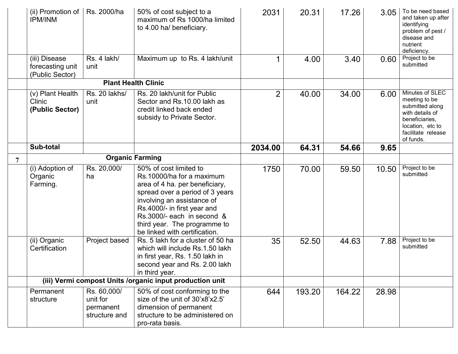|   | (ii) Promotion of<br><b>IPM/INM</b>                  | Rs. 2000/ha                                           | 50% of cost subject to a<br>maximum of Rs 1000/ha limited<br>to 4.00 ha/ beneficiary.                                                                                                                                                                                                | 2031           | 20.31  | 17.26  | 3.05  | To be need based<br>and taken up after<br>identifying<br>problem of pest /<br>disease and<br>nutrient<br>deficiency.                            |
|---|------------------------------------------------------|-------------------------------------------------------|--------------------------------------------------------------------------------------------------------------------------------------------------------------------------------------------------------------------------------------------------------------------------------------|----------------|--------|--------|-------|-------------------------------------------------------------------------------------------------------------------------------------------------|
|   | (iii) Disease<br>forecasting unit<br>(Public Sector) | Rs. 4 lakh/<br>unit                                   | Maximum up to Rs. 4 lakh/unit                                                                                                                                                                                                                                                        | 1              | 4.00   | 3.40   | 0.60  | Project to be<br>submitted                                                                                                                      |
|   |                                                      |                                                       | <b>Plant Health Clinic</b>                                                                                                                                                                                                                                                           |                |        |        |       |                                                                                                                                                 |
|   | (v) Plant Health<br>Clinic<br>(Public Sector)        | Rs. 20 lakhs/<br>unit                                 | Rs. 20 lakh/unit for Public<br>Sector and Rs.10.00 lakh as<br>credit linked back ended<br>subsidy to Private Sector.                                                                                                                                                                 | $\overline{2}$ | 40.00  | 34.00  | 6.00  | Minutes of SLEC<br>meeting to be<br>submitted along<br>with details of<br>beneficiaries,<br>location, etc to<br>facilitate release<br>of funds. |
|   | Sub-total                                            |                                                       |                                                                                                                                                                                                                                                                                      | 2034.00        | 64.31  | 54.66  | 9.65  |                                                                                                                                                 |
| 7 |                                                      |                                                       | <b>Organic Farming</b>                                                                                                                                                                                                                                                               |                |        |        |       |                                                                                                                                                 |
|   | (i) Adoption of<br>Organic<br>Farming.               | Rs. 20,000/<br>ha                                     | 50% of cost limited to<br>Rs.10000/ha for a maximum<br>area of 4 ha. per beneficiary,<br>spread over a period of 3 years<br>involving an assistance of<br>Rs.4000/- in first year and<br>Rs.3000/- each in second &<br>third year. The programme to<br>be linked with certification. | 1750           | 70.00  | 59.50  | 10.50 | Project to be<br>submitted                                                                                                                      |
|   | (ii) Organic<br>Certification                        | Project based                                         | Rs. 5 lakh for a cluster of 50 ha<br>which will include Rs.1.50 lakh<br>in first year, Rs. 1.50 lakh in<br>second year and Rs. 2.00 lakh<br>in third year.                                                                                                                           | 35             | 52.50  | 44.63  | 7.88  | Project to be<br>submitted                                                                                                                      |
|   |                                                      |                                                       | (iii) Vermi compost Units /organic input production unit                                                                                                                                                                                                                             |                |        |        |       |                                                                                                                                                 |
|   | Permanent<br>structure                               | Rs. 60,000/<br>unit for<br>permanent<br>structure and | 50% of cost conforming to the<br>size of the unit of 30'x8'x2.5'<br>dimension of permanent<br>structure to be administered on<br>pro-rata basis.                                                                                                                                     | 644            | 193.20 | 164.22 | 28.98 |                                                                                                                                                 |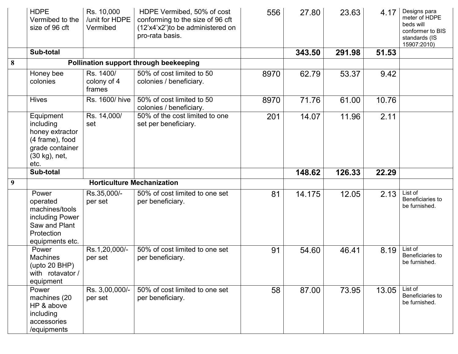|   | <b>HDPE</b><br>Vermibed to the<br>size of 96 cft                                                         | Rs. 10,000<br>/unit for HDPE<br>Vermibed | HDPE Vermibed, 50% of cost<br>conforming to the size of 96 cft<br>(12'x4'x2') to be administered on<br>pro-rata basis. | 556  | 27.80  | 23.63  | 4.17  | Designs para<br>meter of HDPE<br>beds will<br>conformer to BIS<br>standards (IS<br>15907:2010) |
|---|----------------------------------------------------------------------------------------------------------|------------------------------------------|------------------------------------------------------------------------------------------------------------------------|------|--------|--------|-------|------------------------------------------------------------------------------------------------|
|   | Sub-total                                                                                                |                                          |                                                                                                                        |      | 343.50 | 291.98 | 51.53 |                                                                                                |
| 8 |                                                                                                          |                                          | Pollination support through beekeeping                                                                                 |      |        |        |       |                                                                                                |
|   | Honey bee<br>colonies                                                                                    | Rs. 1400/<br>colony of 4<br>frames       | 50% of cost limited to 50<br>colonies / beneficiary.                                                                   | 8970 | 62.79  | 53.37  | 9.42  |                                                                                                |
|   | <b>Hives</b>                                                                                             | Rs. 1600/ hive                           | 50% of cost limited to 50<br>colonies / beneficiary.                                                                   | 8970 | 71.76  | 61.00  | 10.76 |                                                                                                |
|   | Equipment<br>including<br>honey extractor<br>(4 frame), food<br>grade container<br>(30 kg), net,<br>etc. | Rs. 14,000/<br>set                       | 50% of the cost limited to one<br>set per beneficiary.                                                                 | 201  | 14.07  | 11.96  | 2.11  |                                                                                                |
|   | Sub-total                                                                                                |                                          |                                                                                                                        |      | 148.62 | 126.33 | 22.29 |                                                                                                |
| 9 |                                                                                                          | <b>Horticulture Mechanization</b>        |                                                                                                                        |      |        |        |       |                                                                                                |
|   | Power<br>operated<br>machines/tools<br>including Power<br>Saw and Plant<br>Protection<br>equipments etc. | Rs.35,000/-<br>per set                   | 50% of cost limited to one set<br>per beneficiary.                                                                     | 81   | 14.175 | 12.05  | 2.13  | List of<br>Beneficiaries to<br>be furnished.                                                   |
|   | Power<br><b>Machines</b><br>(upto 20 BHP)<br>with rotavator /<br>equipment                               | Rs.1,20,000/-<br>per set                 | 50% of cost limited to one set<br>per beneficiary.                                                                     | 91   | 54.60  | 46.41  | 8.19  | List of<br>Beneficiaries to<br>be furnished.                                                   |
|   | Power<br>machines (20<br>HP & above<br>including<br>accessories<br>/equipments                           | Rs. 3,00,000/-<br>per set                | 50% of cost limited to one set<br>per beneficiary.                                                                     | 58   | 87.00  | 73.95  | 13.05 | List of<br>Beneficiaries to<br>be furnished.                                                   |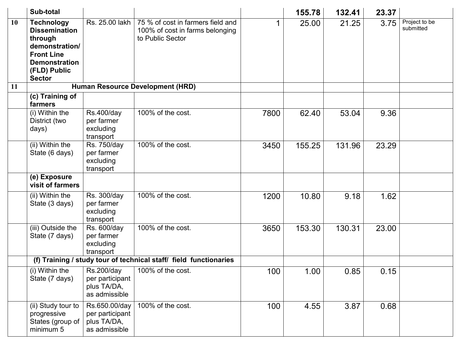|    | Sub-total                                                                                                                                            |                                                                      |                                                                                          |      | 155.78 | 132.41 | 23.37 |                            |
|----|------------------------------------------------------------------------------------------------------------------------------------------------------|----------------------------------------------------------------------|------------------------------------------------------------------------------------------|------|--------|--------|-------|----------------------------|
| 10 | <b>Technology</b><br><b>Dissemination</b><br>through<br>demonstration/<br><b>Front Line</b><br><b>Demonstration</b><br>(FLD) Public<br><b>Sector</b> | Rs. 25.00 lakh                                                       | 75 % of cost in farmers field and<br>100% of cost in farms belonging<br>to Public Sector | 1    | 25.00  | 21.25  | 3.75  | Project to be<br>submitted |
| 11 |                                                                                                                                                      |                                                                      | Human Resource Development (HRD)                                                         |      |        |        |       |                            |
|    | (c) Training of<br>farmers                                                                                                                           |                                                                      |                                                                                          |      |        |        |       |                            |
|    | (i) Within the<br>District (two<br>days)                                                                                                             | <b>Rs.400/day</b><br>per farmer<br>excluding<br>transport            | 100% of the cost.                                                                        | 7800 | 62.40  | 53.04  | 9.36  |                            |
|    | (ii) Within the<br>State (6 days)                                                                                                                    | Rs. 750/day<br>per farmer<br>excluding<br>transport                  | 100% of the cost.                                                                        | 3450 | 155.25 | 131.96 | 23.29 |                            |
|    | (e) Exposure<br>visit of farmers                                                                                                                     |                                                                      |                                                                                          |      |        |        |       |                            |
|    | (ii) Within the<br>State (3 days)                                                                                                                    | Rs. 300/day<br>per farmer<br>excluding<br>transport                  | 100% of the cost.                                                                        | 1200 | 10.80  | 9.18   | 1.62  |                            |
|    | (iii) Outside the<br>State (7 days)                                                                                                                  | Rs. 600/day<br>per farmer<br>excluding<br>transport                  | 100% of the cost.                                                                        | 3650 | 153.30 | 130.31 | 23.00 |                            |
|    | (f) Training / study tour of technical staff/ field functionaries                                                                                    |                                                                      |                                                                                          |      |        |        |       |                            |
|    | (i) Within the<br>State (7 days)                                                                                                                     | <b>Rs.200/day</b><br>per participant<br>plus TA/DA,<br>as admissible | 100% of the cost.                                                                        | 100  | 1.00   | 0.85   | 0.15  |                            |
|    | (ii) Study tour to<br>progressive<br>States (group of<br>minimum 5                                                                                   | Rs.650.00/day<br>per participant<br>plus TA/DA,<br>as admissible     | 100% of the cost.                                                                        | 100  | 4.55   | 3.87   | 0.68  |                            |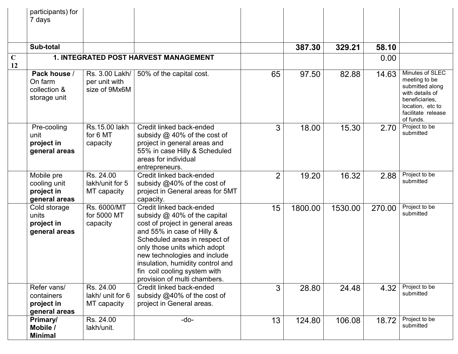|                   | participants) for<br>7 days                               |                                                  |                                                                                                                                                                                                                                                                                                                                   |                |         |         |        |                                                                                                                                                 |
|-------------------|-----------------------------------------------------------|--------------------------------------------------|-----------------------------------------------------------------------------------------------------------------------------------------------------------------------------------------------------------------------------------------------------------------------------------------------------------------------------------|----------------|---------|---------|--------|-------------------------------------------------------------------------------------------------------------------------------------------------|
|                   | Sub-total                                                 |                                                  |                                                                                                                                                                                                                                                                                                                                   |                | 387.30  | 329.21  | 58.10  |                                                                                                                                                 |
| $\mathbf C$<br>12 | 1. INTEGRATED POST HARVEST MANAGEMENT                     |                                                  |                                                                                                                                                                                                                                                                                                                                   |                | 0.00    |         |        |                                                                                                                                                 |
|                   | Pack house /<br>On farm<br>collection &<br>storage unit   | Rs. 3.00 Lakh/<br>per unit with<br>size of 9Mx6M | 50% of the capital cost.                                                                                                                                                                                                                                                                                                          | 65             | 97.50   | 82.88   | 14.63  | Minutes of SLEC<br>meeting to be<br>submitted along<br>with details of<br>beneficiaries,<br>location, etc to<br>facilitate release<br>of funds. |
|                   | Pre-cooling<br>unit<br>project in<br>general areas        | Rs.15.00 lakh<br>for 6 MT<br>capacity            | Credit linked back-ended<br>subsidy $@$ 40% of the cost of<br>project in general areas and<br>55% in case Hilly & Scheduled<br>areas for individual<br>entrepreneurs.                                                                                                                                                             | 3              | 18.00   | 15.30   | 2.70   | Project to be<br>submitted                                                                                                                      |
|                   | Mobile pre<br>cooling unit<br>project in<br>general areas | Rs. 24.00<br>lakh/unit for 5<br>MT capacity      | Credit linked back-ended<br>subsidy @40% of the cost of<br>project in General areas for 5MT<br>capacity.                                                                                                                                                                                                                          | $\overline{2}$ | 19.20   | 16.32   | 2.88   | Project to be<br>submitted                                                                                                                      |
|                   | Cold storage<br>units<br>project in<br>general areas      | Rs. 6000/MT<br>for 5000 MT<br>capacity           | Credit linked back-ended<br>subsidy $@$ 40% of the capital<br>cost of project in general areas<br>and 55% in case of Hilly &<br>Scheduled areas in respect of<br>only those units which adopt<br>new technologies and include<br>insulation, humidity control and<br>fin coil cooling system with<br>provision of multi chambers. | 15             | 1800.00 | 1530.00 | 270.00 | Project to be<br>submitted                                                                                                                      |
|                   | Refer vans/<br>containers<br>project in<br>general areas  | Rs. 24.00<br>lakh/ unit for 6<br>MT capacity     | Credit linked back-ended<br>subsidy @40% of the cost of<br>project in General areas.                                                                                                                                                                                                                                              | 3              | 28.80   | 24.48   | 4.32   | Project to be<br>submitted                                                                                                                      |
|                   | <b>Primary/</b><br>Mobile /<br><b>Minimal</b>             | Rs. 24.00<br>lakh/unit.                          | -do-                                                                                                                                                                                                                                                                                                                              | 13             | 124.80  | 106.08  | 18.72  | Project to be<br>submitted                                                                                                                      |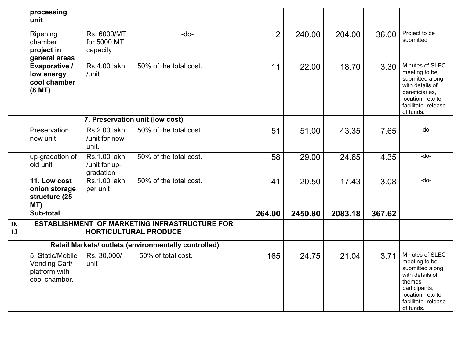|          | processing<br>unit                                                            |                                                   |                                 |                |         |         |        |                                                                                                                                                          |
|----------|-------------------------------------------------------------------------------|---------------------------------------------------|---------------------------------|----------------|---------|---------|--------|----------------------------------------------------------------------------------------------------------------------------------------------------------|
|          | Ripening<br>chamber<br>project in<br>general areas                            | Rs. 6000/MT<br>for 5000 MT<br>capacity            | -do-                            | $\overline{2}$ | 240.00  | 204.00  | 36.00  | Project to be<br>submitted                                                                                                                               |
|          | Evaporative /<br>low energy<br>cool chamber<br>(8 <sub>M</sub> T)             | <b>Rs.4.00 lakh</b><br>/unit                      | 50% of the total cost.          | 11             | 22.00   | 18.70   | 3.30   | Minutes of SLEC<br>meeting to be<br>submitted along<br>with details of<br>beneficiaries,<br>location, etc to<br>facilitate release<br>of funds.          |
|          |                                                                               |                                                   | 7. Preservation unit (low cost) |                |         |         |        |                                                                                                                                                          |
|          | Preservation<br>new unit                                                      | <b>Rs.2.00 lakh</b><br>/unit for new<br>unit.     | 50% of the total cost.          | 51             | 51.00   | 43.35   | 7.65   | -do-                                                                                                                                                     |
|          | up-gradation of<br>old unit                                                   | <b>Rs.1.00 lakh</b><br>/unit for up-<br>gradation | 50% of the total cost.          | 58             | 29.00   | 24.65   | 4.35   | -do-                                                                                                                                                     |
|          | 11. Low cost<br>onion storage<br>structure (25<br>MT)                         | <b>Rs.1.00 lakh</b><br>per unit                   | 50% of the total cost.          | 41             | 20.50   | 17.43   | 3.08   | -do-                                                                                                                                                     |
|          | Sub-total                                                                     |                                                   |                                 | 264.00         | 2450.80 | 2083.18 | 367.62 |                                                                                                                                                          |
| D.<br>13 | ESTABLISHMENT OF MARKETING INFRASTRUCTURE FOR<br><b>HORTICULTURAL PRODUCE</b> |                                                   |                                 |                |         |         |        |                                                                                                                                                          |
|          | Retail Markets/ outlets (environmentally controlled)                          |                                                   |                                 |                |         |         |        |                                                                                                                                                          |
|          | 5. Static/Mobile<br>Vending Cart/<br>platform with<br>cool chamber.           | Rs. 30,000/<br>unit                               | 50% of total cost.              | 165            | 24.75   | 21.04   | 3.71   | Minutes of SLEC<br>meeting to be<br>submitted along<br>with details of<br>themes<br>participants,<br>location, etc to<br>facilitate release<br>of funds. |